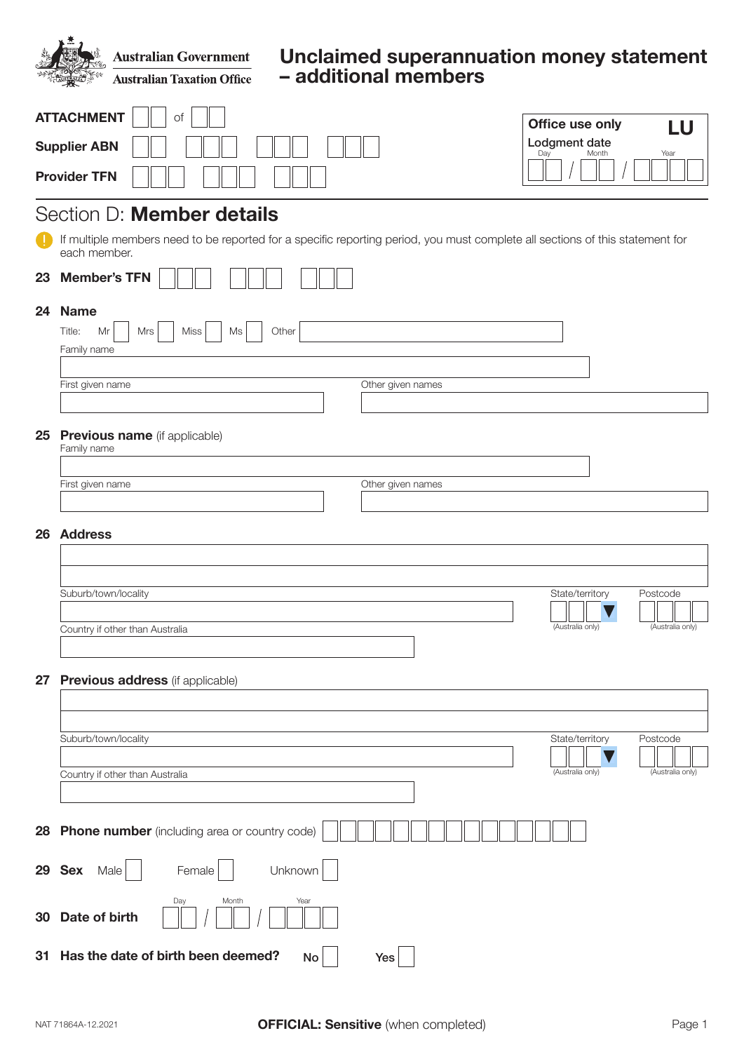|    | Unclaimed superannuation money statement<br><b>Australian Government</b><br>- additional members<br><b>Australian Taxation Office</b>                                      |                                                  |                              |
|----|----------------------------------------------------------------------------------------------------------------------------------------------------------------------------|--------------------------------------------------|------------------------------|
|    | <b>ATTACHMENT</b><br>of<br><b>Supplier ABN</b><br><b>Provider TFN</b>                                                                                                      | Office use only<br>Lodgment date<br>Day<br>Month | LU<br>Year                   |
|    | Section D: Member details<br>If multiple members need to be reported for a specific reporting period, you must complete all sections of this statement for<br>each member. |                                                  |                              |
|    | 23 Member's TFN                                                                                                                                                            |                                                  |                              |
| 24 | <b>Name</b><br>Title:<br>Miss<br>Other<br>Mr<br>Mrs<br>$\operatorname{\mathsf{Ms}}$<br>Family name<br>First given name<br>Other given names                                |                                                  |                              |
| 25 | Previous name (if applicable)<br>Family name<br>Other given names<br>First given name                                                                                      |                                                  |                              |
| 26 | <b>Address</b>                                                                                                                                                             |                                                  |                              |
|    | Suburb/town/locality<br>Country if other than Australia                                                                                                                    | State/territory<br>(Australia only)              | Postcode<br>(Australia only) |
| 27 | Previous address (if applicable)                                                                                                                                           |                                                  |                              |
|    | Suburb/town/locality<br>Country if other than Australia                                                                                                                    | State/territory<br>(Australia only)              | Postcode<br>(Australia only) |
| 28 | <b>Phone number</b> (including area or country code)                                                                                                                       |                                                  |                              |
| 30 | 29 Sex<br>Male<br>Female<br>Unknown<br>Day<br>Year<br>Month<br>Date of birth                                                                                               |                                                  |                              |
|    | 31 Has the date of birth been deemed?<br>Yes<br>No                                                                                                                         |                                                  |                              |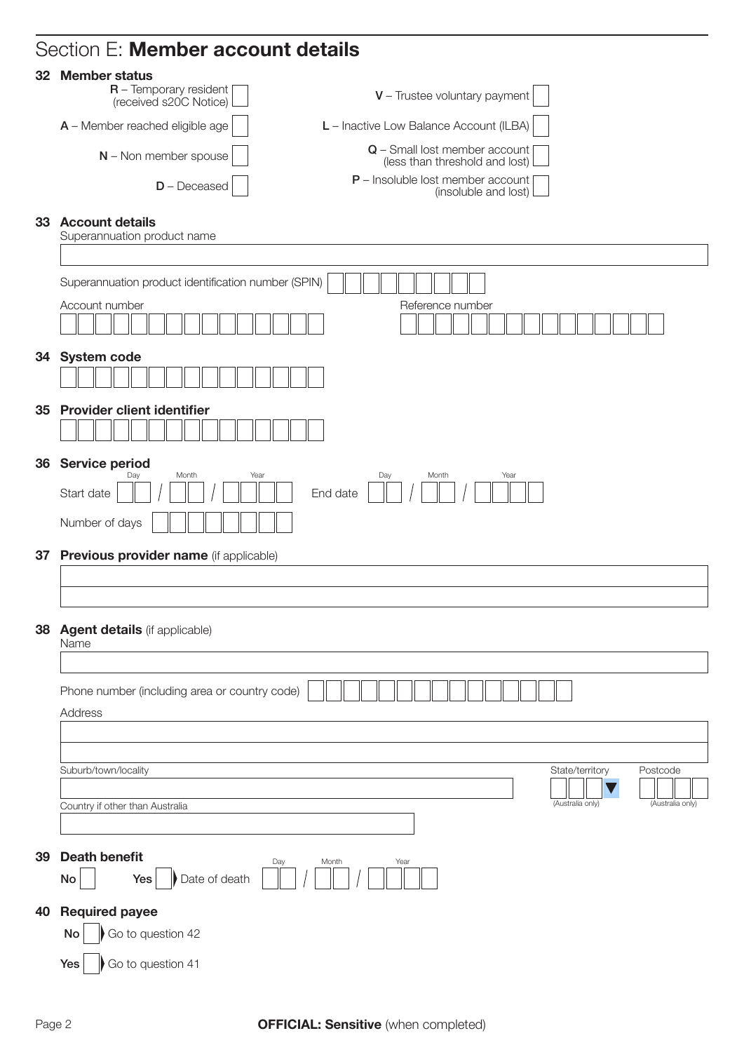## Section E: Member account details

## 32 Member status

| $R$ – Temporary resident $[$ (received s20C Notice) | $V$ – Trustee voluntary payment                                |
|-----------------------------------------------------|----------------------------------------------------------------|
| $A$ – Member reached eligible age                   | L - Inactive Low Balance Account (ILBA)                        |
| $N$ – Non member spouse                             | $Q$ – Small lost member account (less than threshold and lost) |
| $D - Deceased$                                      | $P$ – Insoluble lost member account [<br>(insoluble and lost)  |

|    | 33 Account details<br>Superannuation product name                       |  |  |
|----|-------------------------------------------------------------------------|--|--|
|    |                                                                         |  |  |
|    | Superannuation product identification number (SPIN)                     |  |  |
|    | Account number<br>Reference number                                      |  |  |
|    |                                                                         |  |  |
|    | 34 System code                                                          |  |  |
|    |                                                                         |  |  |
|    | 35 Provider client identifier                                           |  |  |
|    |                                                                         |  |  |
| 36 | <b>Service period</b><br>Month<br>Year<br>Day<br>Month<br>Year          |  |  |
|    | Day<br>End date<br>Start date                                           |  |  |
|    | Number of days                                                          |  |  |
| 37 | Previous provider name (if applicable)                                  |  |  |
|    |                                                                         |  |  |
|    |                                                                         |  |  |
|    | 38 Agent details (if applicable)<br>Name                                |  |  |
|    |                                                                         |  |  |
|    | Phone number (including area or country code)                           |  |  |
|    | Address                                                                 |  |  |
|    |                                                                         |  |  |
|    | Suburb/town/locality<br>State/territory<br>Postcode                     |  |  |
|    | (Australia only)<br>(Australia only)<br>Country if other than Australia |  |  |
|    |                                                                         |  |  |
| 39 | <b>Death benefit</b>                                                    |  |  |
|    | Day<br>Month<br>Year<br>Date of death<br>No<br>Yes                      |  |  |
| 40 | <b>Required payee</b>                                                   |  |  |
|    | Go to question 42<br>No                                                 |  |  |
|    | Go to question 41<br>Yes                                                |  |  |